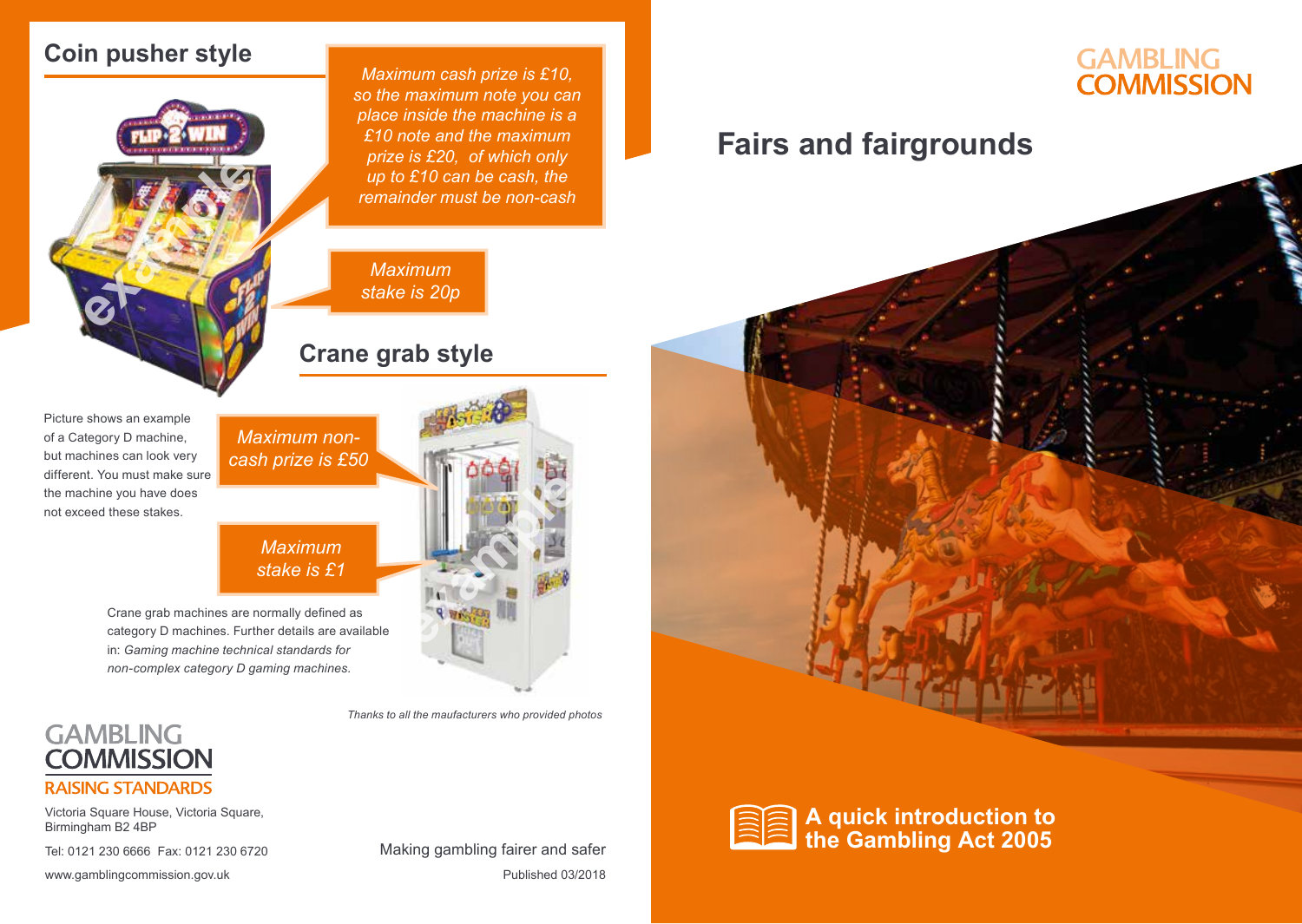### **Coin pusher style**



*Maximum cash prize is £10, so the maximum note you can place inside the machine is a £10 note and the maximum prize is £20, of which only up to £10 can be cash, the remainder must be non-cash*

#### *Maximum stake is 20p*

#### **Crane grab style**

Picture shows an example of a Category D machine, but machines can look very different. You must make sure the machine you have does not exceed these stakes.

#### *Maximum stake is £1*

*Maximum noncash prize is £50*

Crane grab machines are normally defined as category D machines. Further details are available in: *Gaming machine technical standards for non-complex category D gaming machines.*



Victoria Square House, Victoria Square, Birmingham B2 4BP

Tel: 0121 230 6666 Fax: 0121 230 6720

www.gamblingcommission.gov.uk example and the published 03/2018 Making gambling fairer and safer



## **GAMBLING COMMISSION**

## **Fairs and fairgrounds**